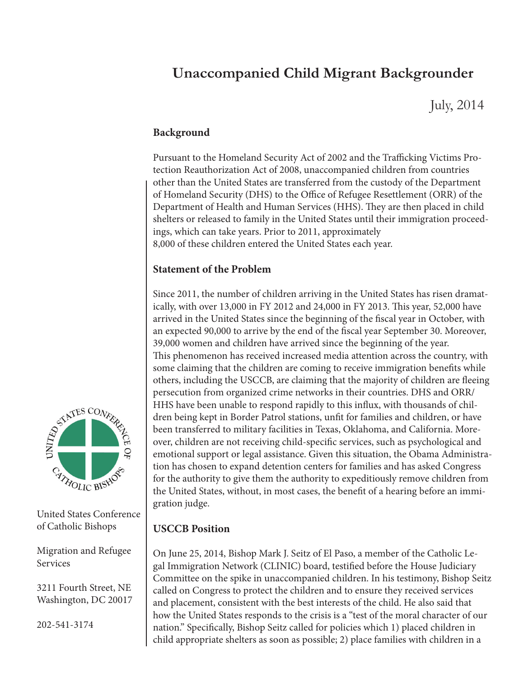## **Unaccompanied Child Migrant Backgrounder**

July, 2014

## **Background**

Pursuant to the Homeland Security Act of 2002 and the Trafficking Victims Protection Reauthorization Act of 2008, unaccompanied children from countries other than the United States are transferred from the custody of the Department of Homeland Security (DHS) to the Office of Refugee Resettlement (ORR) of the Department of Health and Human Services (HHS). They are then placed in child shelters or released to family in the United States until their immigration proceedings, which can take years. Prior to 2011, approximately 8,000 of these children entered the United States each year.

## **Statement of the Problem**

Since 2011, the number of children arriving in the United States has risen dramatically, with over 13,000 in FY 2012 and 24,000 in FY 2013. This year, 52,000 have arrived in the United States since the beginning of the fiscal year in October, with an expected 90,000 to arrive by the end of the fiscal year September 30. Moreover, 39,000 women and children have arrived since the beginning of the year. This phenomenon has received increased media attention across the country, with some claiming that the children are coming to receive immigration benefits while others, including the USCCB, are claiming that the majority of children are fleeing persecution from organized crime networks in their countries. DHS and ORR/ HHS have been unable to respond rapidly to this influx, with thousands of children being kept in Border Patrol stations, unfit for families and children, or have been transferred to military facilities in Texas, Oklahoma, and California. Moreover, children are not receiving child-specific services, such as psychological and emotional support or legal assistance. Given this situation, the Obama Administration has chosen to expand detention centers for families and has asked Congress for the authority to give them the authority to expeditiously remove children from the United States, without, in most cases, the benefit of a hearing before an immigration judge.

## **USCCB Position**

On June 25, 2014, Bishop Mark J. Seitz of El Paso, a member of the Catholic Legal Immigration Network (CLINIC) board, testified before the House Judiciary Committee on the spike in unaccompanied children. In his testimony, Bishop Seitz called on Congress to protect the children and to ensure they received services and placement, consistent with the best interests of the child. He also said that how the United States responds to the crisis is a "test of the moral character of our nation." Specifically, Bishop Seitz called for policies which 1) placed children in child appropriate shelters as soon as possible; 2) place families with children in a



United States Conference of Catholic Bishops

Migration and Refugee Services

3211 Fourth Street, NE Washington, DC 20017

202-541-3174